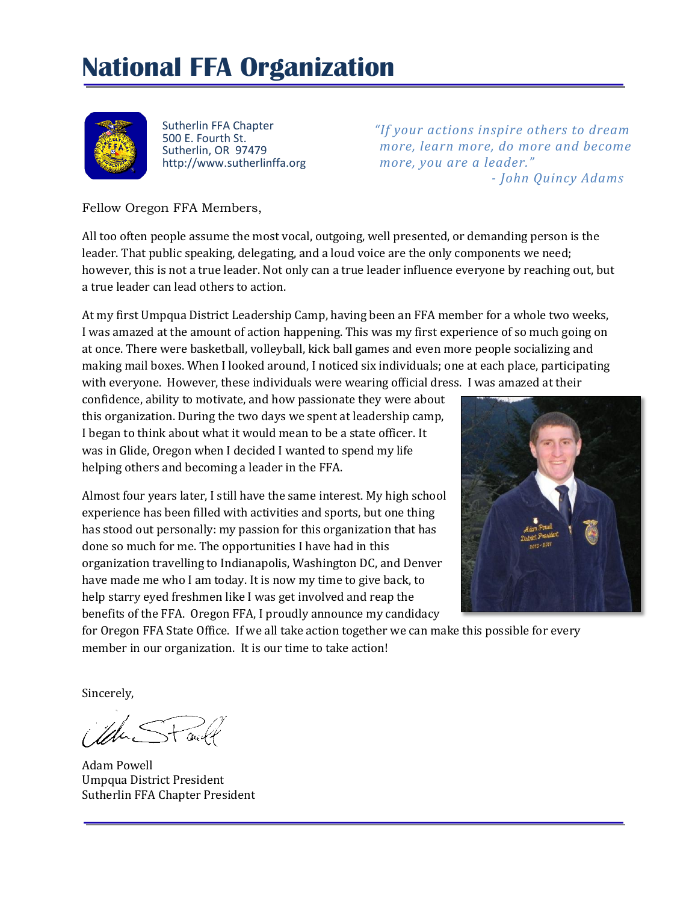# **National FFA Organization**



Sutherlin FFA Chapter 500 E. Fourth St. Sutherlin, OR 97479 http://www.sutherlinffa.org

*"If your actions inspire others to dream more, learn more, do more and become more, you are a leader." - John Quincy Adams*

Fellow Oregon FFA Members,

All too often people assume the most vocal, outgoing, well presented, or demanding person is the leader. That public speaking, delegating, and a loud voice are the only components we need; however, this is not a true leader. Not only can a true leader influence everyone by reaching out, but a true leader can lead others to action.

At my first Umpqua District Leadership Camp, having been an FFA member for a whole two weeks, I was amazed at the amount of action happening. This was my first experience of so much going on at once. There were basketball, volleyball, kick ball games and even more people socializing and making mail boxes. When I looked around, I noticed six individuals; one at each place, participating with everyone. However, these individuals were wearing official dress. I was amazed at their

confidence, ability to motivate, and how passionate they were about this organization. During the two days we spent at leadership camp, I began to think about what it would mean to be a state officer. It was in Glide, Oregon when I decided I wanted to spend my life helping others and becoming a leader in the FFA.

Almost four years later, I still have the same interest. My high school experience has been filled with activities and sports, but one thing has stood out personally: my passion for this organization that has done so much for me. The opportunities I have had in this organization travelling to Indianapolis, Washington DC, and Denver have made me who I am today. It is now my time to give back, to help starry eyed freshmen like I was get involved and reap the benefits of the FFA. Oregon FFA, I proudly announce my candidacy



for Oregon FFA State Office. If we all take action together we can make this possible for every member in our organization. It is our time to take action!

Sincerely,

Adam Powell Umpqua District President Sutherlin FFA Chapter President